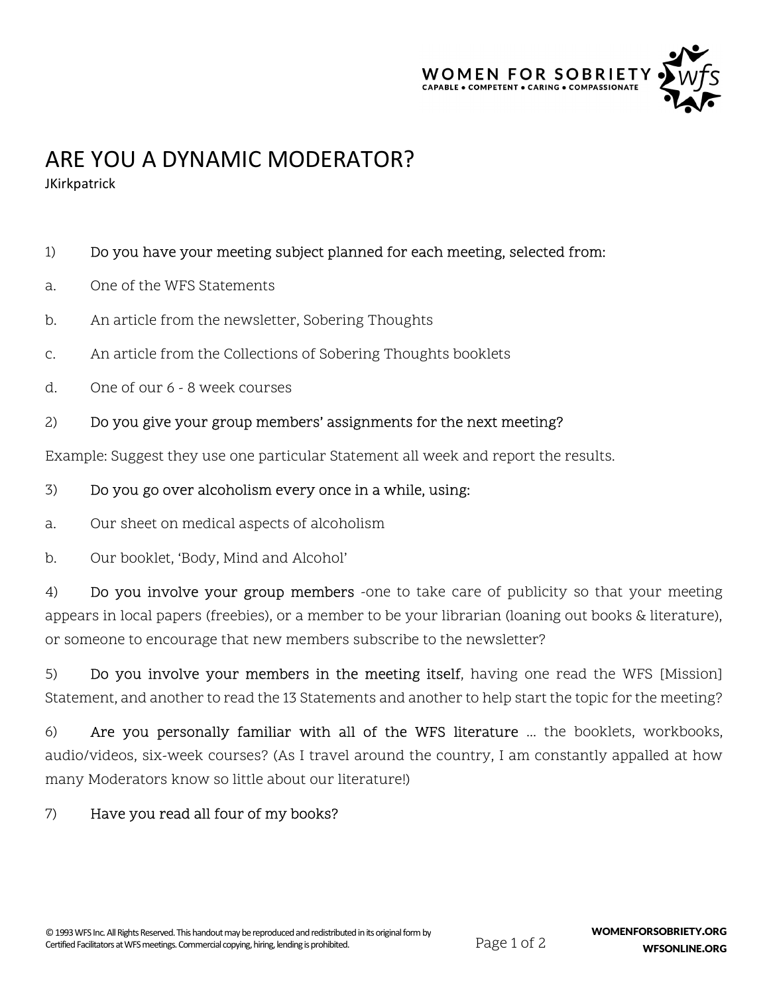

# ARE YOU A DYNAMIC MODERATOR?

**JKirkpatrick** 

# 1) Do you have your meeting subject planned for each meeting, selected from:

- a. One of the WFS Statements
- b. An article from the newsletter, Sobering Thoughts
- c. An article from the Collections of Sobering Thoughts booklets
- d. One of our 6 8 week courses

# 2) Do you give your group members' assignments for the next meeting?

Example: Suggest they use one particular Statement all week and report the results.

#### 3) Do you go over alcoholism every once in a while, using:

a. Our sheet on medical aspects of alcoholism

b. Our booklet, 'Body, Mind and Alcohol'

4) Do you involve your group members -one to take care of publicity so that your meeting appears in local papers (freebies), or a member to be your librarian (loaning out books & literature), or someone to encourage that new members subscribe to the newsletter?

5) Do you involve your members in the meeting itself, having one read the WFS [Mission] Statement, and another to read the 13 Statements and another to help start the topic for the meeting?

6) Are you personally familiar with all of the WFS literature ... the booklets, workbooks, audio/videos, six-week courses? (As I travel around the country, I am constantly appalled at how many Moderators know so little about our literature!)

# 7) Have you read all four of my books?